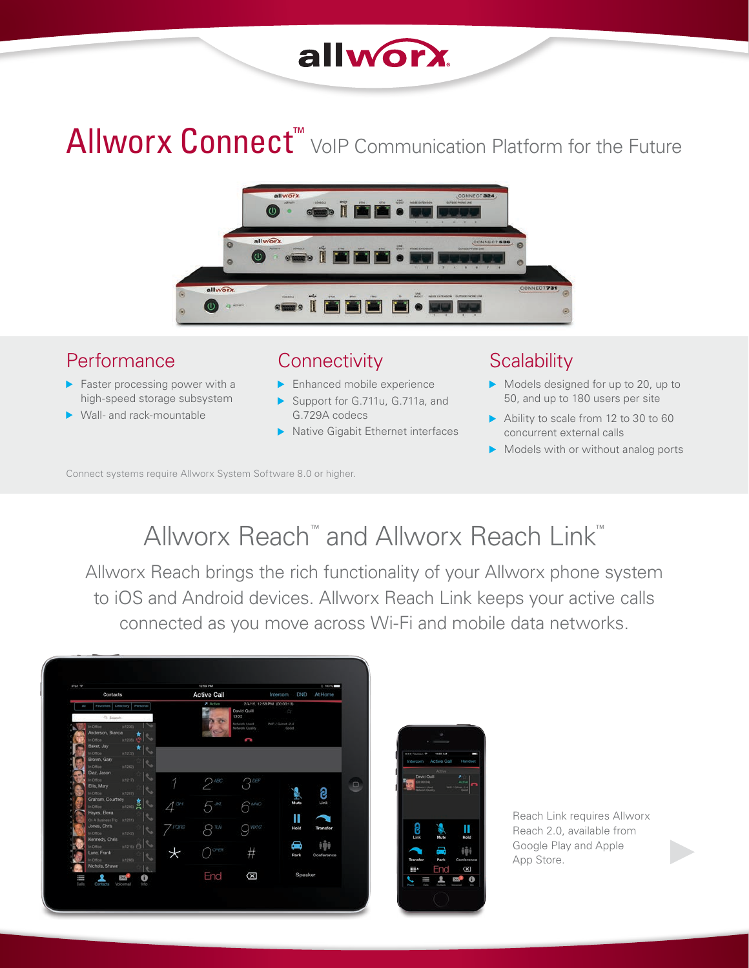## allworx.

# Allworx Connect<sup>™</sup> VoIP Communication Platform for the Future



#### Performance

- Faster processing power with a high-speed storage subsystem
- ▶ Wall- and rack-mountable

#### **Connectivity**

- **Enhanced mobile experience**
- Support for G.711u, G.711a, and G.729A codecs
- Native Gigabit Ethernet interfaces

#### **Scalability**

- Models designed for up to 20, up to 50, and up to 180 users per site
- Ability to scale from 12 to 30 to 60 concurrent external calls
- Models with or without analog ports

Connect systems require Allworx System Software 8.0 or higher.

### Allworx Reach™ and Allworx Reach Link™

Allworx Reach brings the rich functionality of your Allworx phone system to iOS and Android devices. Allworx Reach Link keeps your active calls connected as you move across Wi-Fi and mobile data networks.



Reach Link requires Allworx Reach 2.0, available from Google Play and Apple App Store.